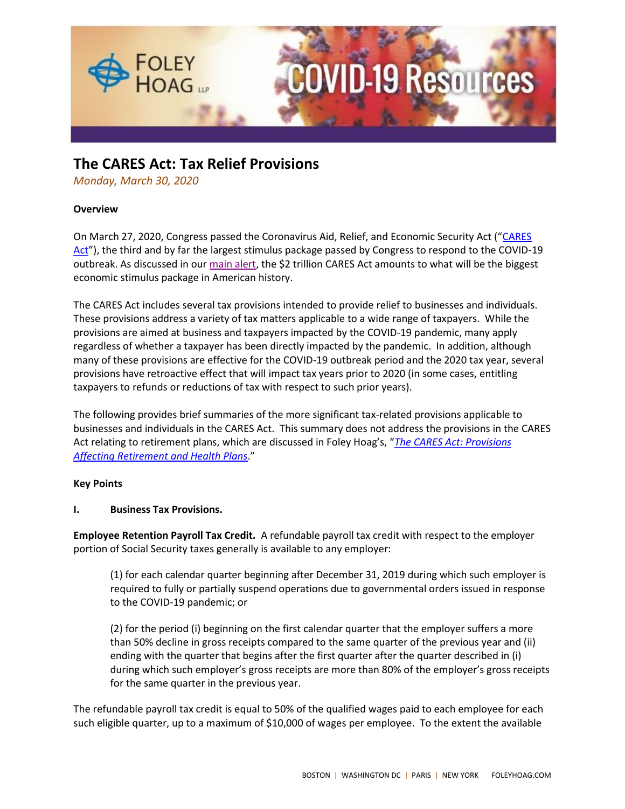

# **The CARES Act: Tax Relief Provisions**

*Monday, March 30, 2020*

### **Overview**

On March 27, 2020, Congress passed the Coronavirus Aid, Relief, and Economic Security Act ("[CARES](https://www.congress.gov/116/bills/hr748/BILLS-116hr748eas.pdf)  [Act](https://www.congress.gov/116/bills/hr748/BILLS-116hr748eas.pdf)"), the third and by far the largest stimulus package passed by Congress to respond to the COVID-19 outbreak. As discussed in our [main alert,](https://foleyhoag.com/publications/alerts-and-updates/2020/march/the-2-trillion-federal-cares-act-the-key-financial-assistance-provisions-key-legislative-changes-and-next-steps) the \$2 trillion CARES Act amounts to what will be the biggest economic stimulus package in American history.

The CARES Act includes several tax provisions intended to provide relief to businesses and individuals. These provisions address a variety of tax matters applicable to a wide range of taxpayers. While the provisions are aimed at business and taxpayers impacted by the COVID-19 pandemic, many apply regardless of whether a taxpayer has been directly impacted by the pandemic. In addition, although many of these provisions are effective for the COVID-19 outbreak period and the 2020 tax year, several provisions have retroactive effect that will impact tax years prior to 2020 (in some cases, entitling taxpayers to refunds or reductions of tax with respect to such prior years).

The following provides brief summaries of the more significant tax-related provisions applicable to businesses and individuals in the CARES Act. This summary does not address the provisions in the CARES Act relating to retirement plans, which are discussed in Foley Hoag's, "*[The CARES Act: Provisions](https://www.foleyhoag.com/-/media/5559f0074393461789b59e9620480703.ashx)  [Affecting Retirement and Health Plans](https://www.foleyhoag.com/-/media/5559f0074393461789b59e9620480703.ashx)*."

### **Key Points**

### **I. Business Tax Provisions.**

**Employee Retention Payroll Tax Credit.** A refundable payroll tax credit with respect to the employer portion of Social Security taxes generally is available to any employer:

(1) for each calendar quarter beginning after December 31, 2019 during which such employer is required to fully or partially suspend operations due to governmental orders issued in response to the COVID-19 pandemic; or

(2) for the period (i) beginning on the first calendar quarter that the employer suffers a more than 50% decline in gross receipts compared to the same quarter of the previous year and (ii) ending with the quarter that begins after the first quarter after the quarter described in (i) during which such employer's gross receipts are more than 80% of the employer's gross receipts for the same quarter in the previous year.

The refundable payroll tax credit is equal to 50% of the qualified wages paid to each employee for each such eligible quarter, up to a maximum of \$10,000 of wages per employee. To the extent the available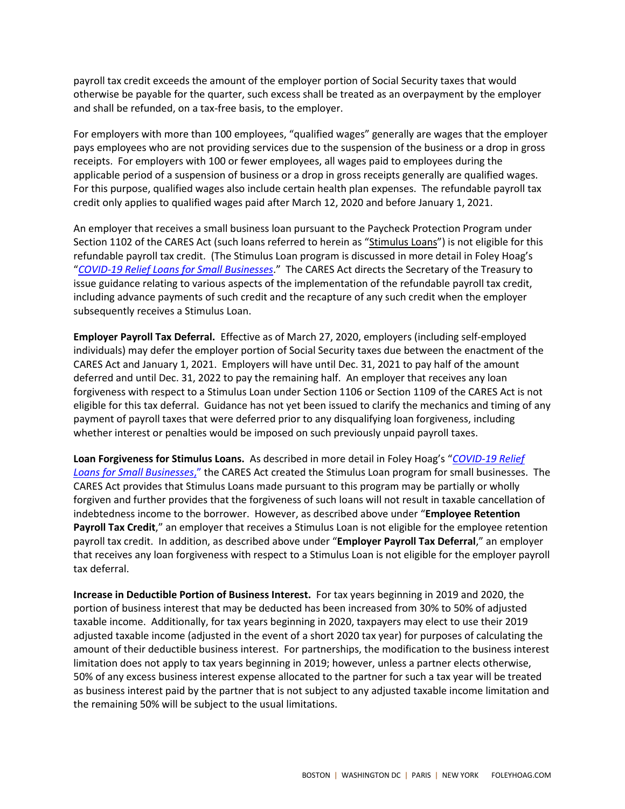payroll tax credit exceeds the amount of the employer portion of Social Security taxes that would otherwise be payable for the quarter, such excess shall be treated as an overpayment by the employer and shall be refunded, on a tax-free basis, to the employer.

For employers with more than 100 employees, "qualified wages" generally are wages that the employer pays employees who are not providing services due to the suspension of the business or a drop in gross receipts. For employers with 100 or fewer employees, all wages paid to employees during the applicable period of a suspension of business or a drop in gross receipts generally are qualified wages. For this purpose, qualified wages also include certain health plan expenses. The refundable payroll tax credit only applies to qualified wages paid after March 12, 2020 and before January 1, 2021.

An employer that receives a small business loan pursuant to the Paycheck Protection Program under Section 1102 of the CARES Act (such loans referred to herein as "Stimulus Loans") is not eligible for this refundable payroll tax credit. (The Stimulus Loan program is discussed in more detail in Foley Hoag's "*[COVID-19 Relief Loans for Small Businesses](https://foleyhoag.com/publications/alerts-and-updates/2020/march/covid19-relief-loans-for-small-businesses)*." The CARES Act directs the Secretary of the Treasury to issue guidance relating to various aspects of the implementation of the refundable payroll tax credit, including advance payments of such credit and the recapture of any such credit when the employer subsequently receives a Stimulus Loan.

**Employer Payroll Tax Deferral.** Effective as of March 27, 2020, employers (including self-employed individuals) may defer the employer portion of Social Security taxes due between the enactment of the CARES Act and January 1, 2021. Employers will have until Dec. 31, 2021 to pay half of the amount deferred and until Dec. 31, 2022 to pay the remaining half. An employer that receives any loan forgiveness with respect to a Stimulus Loan under Section 1106 or Section 1109 of the CARES Act is not eligible for this tax deferral. Guidance has not yet been issued to clarify the mechanics and timing of any payment of payroll taxes that were deferred prior to any disqualifying loan forgiveness, including whether interest or penalties would be imposed on such previously unpaid payroll taxes.

**Loan Forgiveness for Stimulus Loans.** As described in more detail in Foley Hoag's "*[COVID-19 Relief](https://foleyhoag.com/publications/alerts-and-updates/2020/march/covid19-relief-loans-for-small-businesses)  [Loans for Small Businesses](https://foleyhoag.com/publications/alerts-and-updates/2020/march/covid19-relief-loans-for-small-businesses)*," the CARES Act created the Stimulus Loan program for small businesses. The CARES Act provides that Stimulus Loans made pursuant to this program may be partially or wholly forgiven and further provides that the forgiveness of such loans will not result in taxable cancellation of indebtedness income to the borrower. However, as described above under "**Employee Retention Payroll Tax Credit**," an employer that receives a Stimulus Loan is not eligible for the employee retention payroll tax credit. In addition, as described above under "**Employer Payroll Tax Deferral**," an employer that receives any loan forgiveness with respect to a Stimulus Loan is not eligible for the employer payroll tax deferral.

**Increase in Deductible Portion of Business Interest.** For tax years beginning in 2019 and 2020, the portion of business interest that may be deducted has been increased from 30% to 50% of adjusted taxable income. Additionally, for tax years beginning in 2020, taxpayers may elect to use their 2019 adjusted taxable income (adjusted in the event of a short 2020 tax year) for purposes of calculating the amount of their deductible business interest. For partnerships, the modification to the business interest limitation does not apply to tax years beginning in 2019; however, unless a partner elects otherwise, 50% of any excess business interest expense allocated to the partner for such a tax year will be treated as business interest paid by the partner that is not subject to any adjusted taxable income limitation and the remaining 50% will be subject to the usual limitations.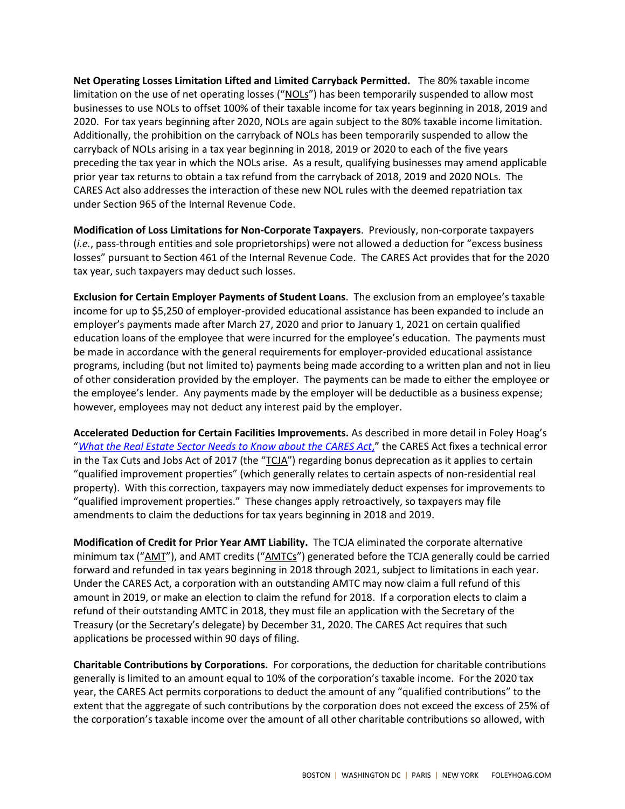**Net Operating Losses Limitation Lifted and Limited Carryback Permitted.** The 80% taxable income limitation on the use of net operating losses ("NOLs") has been temporarily suspended to allow most businesses to use NOLs to offset 100% of their taxable income for tax years beginning in 2018, 2019 and 2020. For tax years beginning after 2020, NOLs are again subject to the 80% taxable income limitation. Additionally, the prohibition on the carryback of NOLs has been temporarily suspended to allow the carryback of NOLs arising in a tax year beginning in 2018, 2019 or 2020 to each of the five years preceding the tax year in which the NOLs arise. As a result, qualifying businesses may amend applicable prior year tax returns to obtain a tax refund from the carryback of 2018, 2019 and 2020 NOLs. The CARES Act also addresses the interaction of these new NOL rules with the deemed repatriation tax under Section 965 of the Internal Revenue Code.

**Modification of Loss Limitations for Non-Corporate Taxpayers**. Previously, non-corporate taxpayers (*i.e.*, pass-through entities and sole proprietorships) were not allowed a deduction for "excess business losses" pursuant to Section 461 of the Internal Revenue Code. The CARES Act provides that for the 2020 tax year, such taxpayers may deduct such losses.

**Exclusion for Certain Employer Payments of Student Loans**. The exclusion from an employee's taxable income for up to \$5,250 of employer-provided educational assistance has been expanded to include an employer's payments made after March 27, 2020 and prior to January 1, 2021 on certain qualified education loans of the employee that were incurred for the employee's education. The payments must be made in accordance with the general requirements for employer-provided educational assistance programs, including (but not limited to) payments being made according to a written plan and not in lieu of other consideration provided by the employer. The payments can be made to either the employee or the employee's lender. Any payments made by the employer will be deductible as a business expense; however, employees may not deduct any interest paid by the employer.

**Accelerated Deduction for Certain Facilities Improvements.** As described in more detail in Foley Hoag's "*[What the Real Estate Sector Needs to Know about the CARES Act](https://www.foleyhoag.com/-/media/a86005d8fba242d9bfbf0b606a76fe20.ashx)*," the CARES Act fixes a technical error in the Tax Cuts and Jobs Act of 2017 (the "TCJA") regarding bonus deprecation as it applies to certain "qualified improvement properties" (which generally relates to certain aspects of non-residential real property). With this correction, taxpayers may now immediately deduct expenses for improvements to "qualified improvement properties." These changes apply retroactively, so taxpayers may file amendments to claim the deductions for tax years beginning in 2018 and 2019.

**Modification of Credit for Prior Year AMT Liability.** The TCJA eliminated the corporate alternative minimum tax ("AMT"), and AMT credits ("AMTCs") generated before the TCJA generally could be carried forward and refunded in tax years beginning in 2018 through 2021, subject to limitations in each year. Under the CARES Act, a corporation with an outstanding AMTC may now claim a full refund of this amount in 2019, or make an election to claim the refund for 2018. If a corporation elects to claim a refund of their outstanding AMTC in 2018, they must file an application with the Secretary of the Treasury (or the Secretary's delegate) by December 31, 2020. The CARES Act requires that such applications be processed within 90 days of filing.

**Charitable Contributions by Corporations.** For corporations, the deduction for charitable contributions generally is limited to an amount equal to 10% of the corporation's taxable income. For the 2020 tax year, the CARES Act permits corporations to deduct the amount of any "qualified contributions" to the extent that the aggregate of such contributions by the corporation does not exceed the excess of 25% of the corporation's taxable income over the amount of all other charitable contributions so allowed, with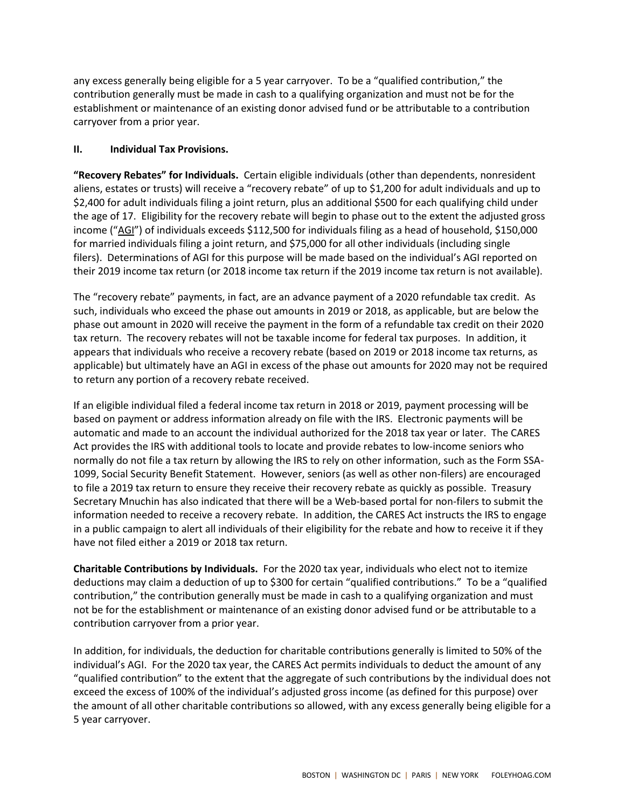any excess generally being eligible for a 5 year carryover. To be a "qualified contribution," the contribution generally must be made in cash to a qualifying organization and must not be for the establishment or maintenance of an existing donor advised fund or be attributable to a contribution carryover from a prior year.

## **II. Individual Tax Provisions.**

**"Recovery Rebates" for Individuals.** Certain eligible individuals (other than dependents, nonresident aliens, estates or trusts) will receive a "recovery rebate" of up to \$1,200 for adult individuals and up to \$2,400 for adult individuals filing a joint return, plus an additional \$500 for each qualifying child under the age of 17. Eligibility for the recovery rebate will begin to phase out to the extent the adjusted gross income ("AGI") of individuals exceeds \$112,500 for individuals filing as a head of household, \$150,000 for married individuals filing a joint return, and \$75,000 for all other individuals (including single filers). Determinations of AGI for this purpose will be made based on the individual's AGI reported on their 2019 income tax return (or 2018 income tax return if the 2019 income tax return is not available).

The "recovery rebate" payments, in fact, are an advance payment of a 2020 refundable tax credit. As such, individuals who exceed the phase out amounts in 2019 or 2018, as applicable, but are below the phase out amount in 2020 will receive the payment in the form of a refundable tax credit on their 2020 tax return.The recovery rebates will not be taxable income for federal tax purposes. In addition, it appears that individuals who receive a recovery rebate (based on 2019 or 2018 income tax returns, as applicable) but ultimately have an AGI in excess of the phase out amounts for 2020 may not be required to return any portion of a recovery rebate received.

If an eligible individual filed a federal income tax return in 2018 or 2019, payment processing will be based on payment or address information already on file with the IRS. Electronic payments will be automatic and made to an account the individual authorized for the 2018 tax year or later. The CARES Act provides the IRS with additional tools to locate and provide rebates to low-income seniors who normally do not file a tax return by allowing the IRS to rely on other information, such as the Form SSA-1099, Social Security Benefit Statement. However, seniors (as well as other non-filers) are encouraged to file a 2019 tax return to ensure they receive their recovery rebate as quickly as possible. Treasury Secretary Mnuchin has also indicated that there will be a Web-based portal for non-filers to submit the information needed to receive a recovery rebate. In addition, the CARES Act instructs the IRS to engage in a public campaign to alert all individuals of their eligibility for the rebate and how to receive it if they have not filed either a 2019 or 2018 tax return.

**Charitable Contributions by Individuals.** For the 2020 tax year, individuals who elect not to itemize deductions may claim a deduction of up to \$300 for certain "qualified contributions." To be a "qualified contribution," the contribution generally must be made in cash to a qualifying organization and must not be for the establishment or maintenance of an existing donor advised fund or be attributable to a contribution carryover from a prior year.

In addition, for individuals, the deduction for charitable contributions generally is limited to 50% of the individual's AGI. For the 2020 tax year, the CARES Act permits individuals to deduct the amount of any "qualified contribution" to the extent that the aggregate of such contributions by the individual does not exceed the excess of 100% of the individual's adjusted gross income (as defined for this purpose) over the amount of all other charitable contributions so allowed, with any excess generally being eligible for a 5 year carryover.